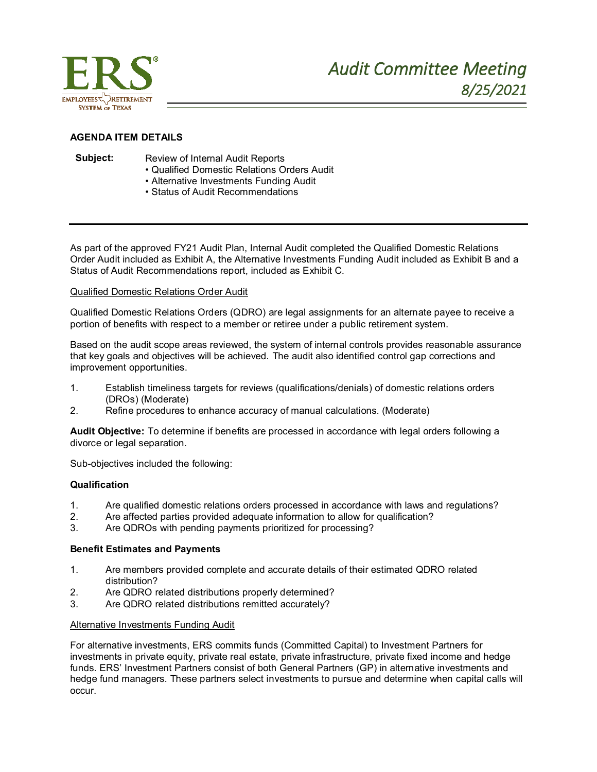

# **AGENDA ITEM DETAILS**

- **Subject:** Review of Internal Audit Reports
	- Qualified Domestic Relations Orders Audit
	- Alternative Investments Funding Audit
	- Status of Audit Recommendations

As part of the approved FY21 Audit Plan, Internal Audit completed the Qualified Domestic Relations Order Audit included as Exhibit A, the Alternative Investments Funding Audit included as Exhibit B and a Status of Audit Recommendations report, included as Exhibit C.

### Qualified Domestic Relations Order Audit

Qualified Domestic Relations Orders (QDRO) are legal assignments for an alternate payee to receive a portion of benefits with respect to a member or retiree under a public retirement system.

Based on the audit scope areas reviewed, the system of internal controls provides reasonable assurance that key goals and objectives will be achieved. The audit also identified control gap corrections and improvement opportunities.

- 1. Establish timeliness targets for reviews (qualifications/denials) of domestic relations orders (DROs) (Moderate)
- 2. Refine procedures to enhance accuracy of manual calculations. (Moderate)

**Audit Objective:** To determine if benefits are processed in accordance with legal orders following a divorce or legal separation.

Sub-objectives included the following:

### **Qualification**

- 1. Are qualified domestic relations orders processed in accordance with laws and regulations?
- 2. Are affected parties provided adequate information to allow for qualification?
- 3. Are QDROs with pending payments prioritized for processing?

### **Benefit Estimates and Payments**

- 1. Are members provided complete and accurate details of their estimated QDRO related distribution?
- 2. Are QDRO related distributions properly determined?
- 3. Are QDRO related distributions remitted accurately?

### Alternative Investments Funding Audit

For alternative investments, ERS commits funds (Committed Capital) to Investment Partners for investments in private equity, private real estate, private infrastructure, private fixed income and hedge funds. ERS' Investment Partners consist of both General Partners (GP) in alternative investments and hedge fund managers. These partners select investments to pursue and determine when capital calls will occur.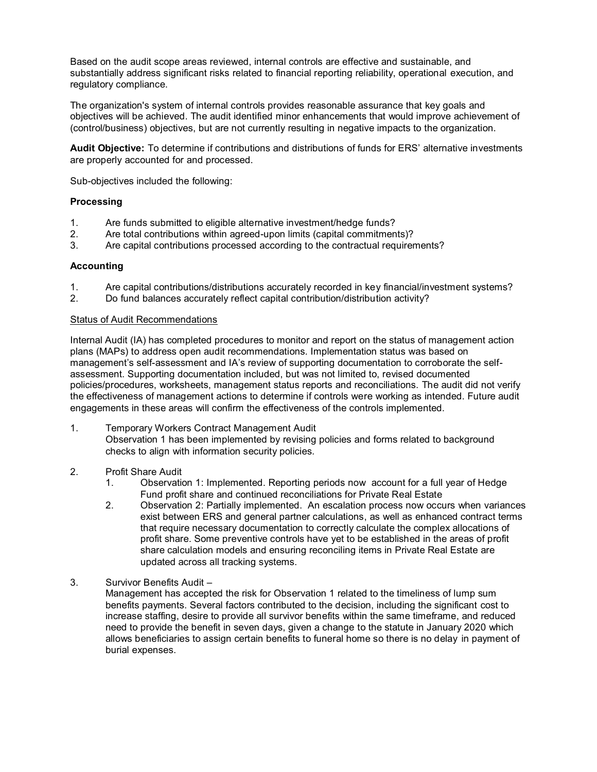Based on the audit scope areas reviewed, internal controls are effective and sustainable, and substantially address significant risks related to financial reporting reliability, operational execution, and regulatory compliance.

The organization's system of internal controls provides reasonable assurance that key goals and objectives will be achieved. The audit identified minor enhancements that would improve achievement of (control/business) objectives, but are not currently resulting in negative impacts to the organization.

**Audit Objective:** To determine if contributions and distributions of funds for ERS' alternative investments are properly accounted for and processed.

Sub-objectives included the following:

## **Processing**

- 1. Are funds submitted to eligible alternative investment/hedge funds?
- 2. Are total contributions within agreed-upon limits (capital commitments)?
- 3. Are capital contributions processed according to the contractual requirements?

## **Accounting**

- 1. Are capital contributions/distributions accurately recorded in key financial/investment systems?
- 2. Do fund balances accurately reflect capital contribution/distribution activity?

#### Status of Audit Recommendations

Internal Audit (IA) has completed procedures to monitor and report on the status of management action plans (MAPs) to address open audit recommendations. Implementation status was based on management's self-assessment and IA's review of supporting documentation to corroborate the selfassessment. Supporting documentation included, but was not limited to, revised documented policies/procedures, worksheets, management status reports and reconciliations. The audit did not verify the effectiveness of management actions to determine if controls were working as intended. Future audit engagements in these areas will confirm the effectiveness of the controls implemented.

- 1. Temporary Workers Contract Management Audit Observation 1 has been implemented by revising policies and forms related to background checks to align with information security policies.
- 2. Profit Share Audit
	- 1. Observation 1: Implemented. Reporting periods now account for a full year of Hedge Fund profit share and continued reconciliations for Private Real Estate
	- 2. Observation 2: Partially implemented. An escalation process now occurs when variances exist between ERS and general partner calculations, as well as enhanced contract terms that require necessary documentation to correctly calculate the complex allocations of profit share. Some preventive controls have yet to be established in the areas of profit share calculation models and ensuring reconciling items in Private Real Estate are updated across all tracking systems.
- 3. Survivor Benefits Audit –

Management has accepted the risk for Observation 1 related to the timeliness of lump sum benefits payments. Several factors contributed to the decision, including the significant cost to increase staffing, desire to provide all survivor benefits within the same timeframe, and reduced need to provide the benefit in seven days, given a change to the statute in January 2020 which allows beneficiaries to assign certain benefits to funeral home so there is no delay in payment of burial expenses.